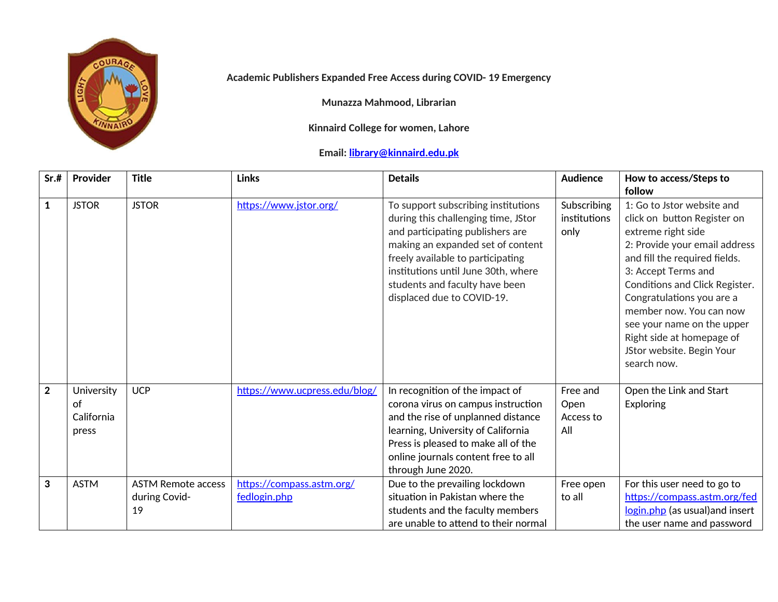

## **Academic Publishers Expanded Free Access during COVID- 19 Emergency**

**Munazza Mahmood, Librarian**

**Kinnaird College for women, Lahore**

## **Email: [library@kinnaird.edu.pk](mailto:library@kinnaird.edu.pk)**

| Sr.#           | Provider                                | <b>Title</b>                                     | <b>Links</b>                              | <b>Details</b>                                                                                                                                                                                                                                                                                  | <b>Audience</b>                      | How to access/Steps to                                                                                                                                                                                                                                                                                                                                                              |
|----------------|-----------------------------------------|--------------------------------------------------|-------------------------------------------|-------------------------------------------------------------------------------------------------------------------------------------------------------------------------------------------------------------------------------------------------------------------------------------------------|--------------------------------------|-------------------------------------------------------------------------------------------------------------------------------------------------------------------------------------------------------------------------------------------------------------------------------------------------------------------------------------------------------------------------------------|
| $\mathbf{1}$   | <b>JSTOR</b>                            | <b>JSTOR</b>                                     | https://www.jstor.org/                    | To support subscribing institutions<br>during this challenging time, JStor<br>and participating publishers are<br>making an expanded set of content<br>freely available to participating<br>institutions until June 30th, where<br>students and faculty have been<br>displaced due to COVID-19. | Subscribing<br>institutions<br>only  | follow<br>1: Go to Jstor website and<br>click on button Register on<br>extreme right side<br>2: Provide your email address<br>and fill the required fields.<br>3: Accept Terms and<br>Conditions and Click Register.<br>Congratulations you are a<br>member now. You can now<br>see your name on the upper<br>Right side at homepage of<br>JStor website. Begin Your<br>search now. |
| $\overline{2}$ | University<br>of<br>California<br>press | <b>UCP</b>                                       | https://www.ucpress.edu/blog/             | In recognition of the impact of<br>corona virus on campus instruction<br>and the rise of unplanned distance<br>learning, University of California<br>Press is pleased to make all of the<br>online journals content free to all<br>through June 2020.                                           | Free and<br>Open<br>Access to<br>All | Open the Link and Start<br>Exploring                                                                                                                                                                                                                                                                                                                                                |
| 3              | <b>ASTM</b>                             | <b>ASTM Remote access</b><br>during Covid-<br>19 | https://compass.astm.org/<br>fedlogin.php | Due to the prevailing lockdown<br>situation in Pakistan where the<br>students and the faculty members<br>are unable to attend to their normal                                                                                                                                                   | Free open<br>to all                  | For this user need to go to<br>https://compass.astm.org/fed<br>login.php (as usual) and insert<br>the user name and password                                                                                                                                                                                                                                                        |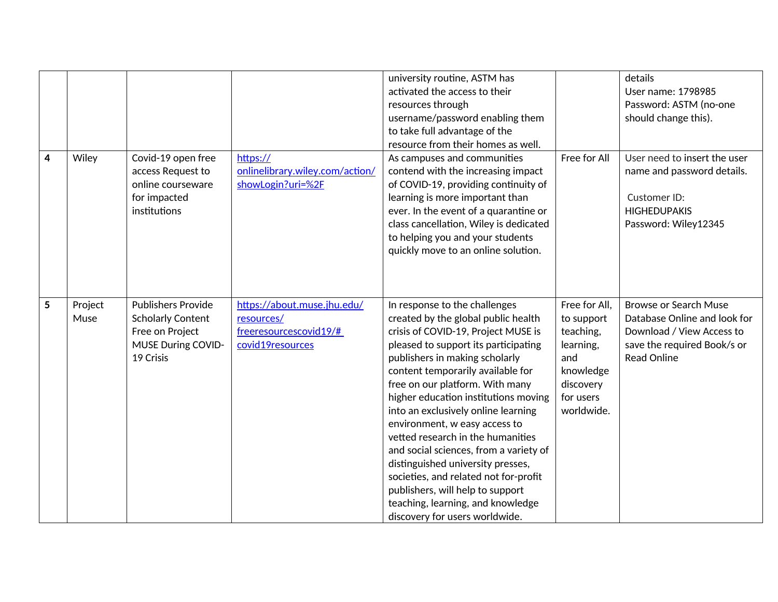|   |                 |                                                                                                                    |                                                                                         | university routine, ASTM has<br>activated the access to their<br>resources through<br>username/password enabling them<br>to take full advantage of the<br>resource from their homes as well.                                                                                                                                                                                                                                                                                                                                                                                                                                                          |                                                                                                                   | details<br>User name: 1798985<br>Password: ASTM (no-one<br>should change this).                                                                |
|---|-----------------|--------------------------------------------------------------------------------------------------------------------|-----------------------------------------------------------------------------------------|-------------------------------------------------------------------------------------------------------------------------------------------------------------------------------------------------------------------------------------------------------------------------------------------------------------------------------------------------------------------------------------------------------------------------------------------------------------------------------------------------------------------------------------------------------------------------------------------------------------------------------------------------------|-------------------------------------------------------------------------------------------------------------------|------------------------------------------------------------------------------------------------------------------------------------------------|
| 4 | Wiley           | Covid-19 open free<br>access Request to<br>online courseware<br>for impacted<br>institutions                       | https://<br>onlinelibrary.wiley.com/action/<br>showLogin?uri=%2F                        | As campuses and communities<br>contend with the increasing impact<br>of COVID-19, providing continuity of<br>learning is more important than<br>ever. In the event of a quarantine or<br>class cancellation, Wiley is dedicated<br>to helping you and your students<br>quickly move to an online solution.                                                                                                                                                                                                                                                                                                                                            | Free for All                                                                                                      | User need to insert the user<br>name and password details.<br>Customer ID:<br><b>HIGHEDUPAKIS</b><br>Password: Wiley12345                      |
| 5 | Project<br>Muse | <b>Publishers Provide</b><br><b>Scholarly Content</b><br>Free on Project<br><b>MUSE During COVID-</b><br>19 Crisis | https://about.muse.jhu.edu/<br>resources/<br>freeresourcescovid19/#<br>covid19resources | In response to the challenges<br>created by the global public health<br>crisis of COVID-19, Project MUSE is<br>pleased to support its participating<br>publishers in making scholarly<br>content temporarily available for<br>free on our platform. With many<br>higher education institutions moving<br>into an exclusively online learning<br>environment, w easy access to<br>vetted research in the humanities<br>and social sciences, from a variety of<br>distinguished university presses,<br>societies, and related not for-profit<br>publishers, will help to support<br>teaching, learning, and knowledge<br>discovery for users worldwide. | Free for All,<br>to support<br>teaching,<br>learning,<br>and<br>knowledge<br>discovery<br>for users<br>worldwide. | <b>Browse or Search Muse</b><br>Database Online and look for<br>Download / View Access to<br>save the required Book/s or<br><b>Read Online</b> |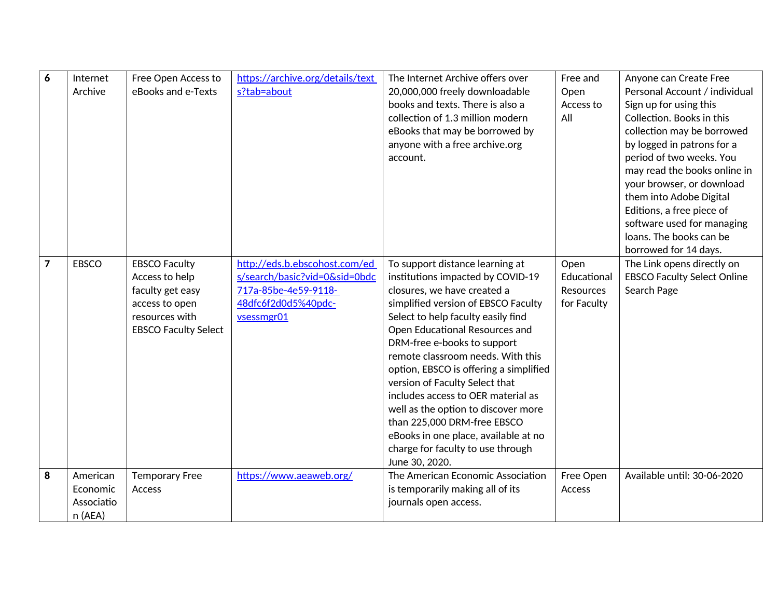| 6              | Internet<br>Archive                           | Free Open Access to<br>eBooks and e-Texts                                                                                     | https://archive.org/details/text<br>s?tab=about                                                                             | The Internet Archive offers over<br>20,000,000 freely downloadable<br>books and texts. There is also a<br>collection of 1.3 million modern<br>eBooks that may be borrowed by<br>anyone with a free archive.org<br>account.                                                                                                                                                                                                                                                                                                                                                    | Free and<br>Open<br>Access to<br>All                   | Anyone can Create Free<br>Personal Account / individual<br>Sign up for using this<br>Collection. Books in this<br>collection may be borrowed<br>by logged in patrons for a<br>period of two weeks. You<br>may read the books online in<br>your browser, or download<br>them into Adobe Digital<br>Editions, a free piece of<br>software used for managing<br>loans. The books can be<br>borrowed for 14 days. |
|----------------|-----------------------------------------------|-------------------------------------------------------------------------------------------------------------------------------|-----------------------------------------------------------------------------------------------------------------------------|-------------------------------------------------------------------------------------------------------------------------------------------------------------------------------------------------------------------------------------------------------------------------------------------------------------------------------------------------------------------------------------------------------------------------------------------------------------------------------------------------------------------------------------------------------------------------------|--------------------------------------------------------|---------------------------------------------------------------------------------------------------------------------------------------------------------------------------------------------------------------------------------------------------------------------------------------------------------------------------------------------------------------------------------------------------------------|
| $\overline{7}$ | <b>EBSCO</b>                                  | <b>EBSCO Faculty</b><br>Access to help<br>faculty get easy<br>access to open<br>resources with<br><b>EBSCO Faculty Select</b> | http://eds.b.ebscohost.com/ed<br>s/search/basic?vid=0&sid=0bdc<br>717a-85be-4e59-9118-<br>48dfc6f2d0d5%40pdc-<br>vsessmgr01 | To support distance learning at<br>institutions impacted by COVID-19<br>closures, we have created a<br>simplified version of EBSCO Faculty<br>Select to help faculty easily find<br>Open Educational Resources and<br>DRM-free e-books to support<br>remote classroom needs. With this<br>option, EBSCO is offering a simplified<br>version of Faculty Select that<br>includes access to OER material as<br>well as the option to discover more<br>than 225,000 DRM-free EBSCO<br>eBooks in one place, available at no<br>charge for faculty to use through<br>June 30, 2020. | Open<br>Educational<br><b>Resources</b><br>for Faculty | The Link opens directly on<br><b>EBSCO Faculty Select Online</b><br>Search Page                                                                                                                                                                                                                                                                                                                               |
| 8              | American<br>Economic<br>Associatio<br>n (AEA) | <b>Temporary Free</b><br>Access                                                                                               | https://www.aeaweb.org/                                                                                                     | The American Economic Association<br>is temporarily making all of its<br>journals open access.                                                                                                                                                                                                                                                                                                                                                                                                                                                                                | Free Open<br>Access                                    | Available until: 30-06-2020                                                                                                                                                                                                                                                                                                                                                                                   |